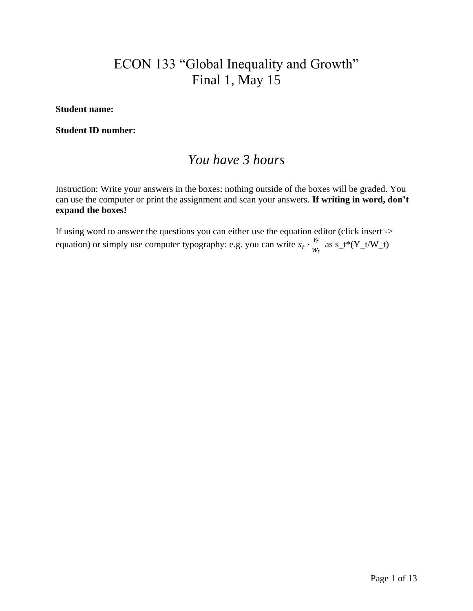# ECON 133 "Global Inequality and Growth" Final 1, May 15

**Student name:** 

**Student ID number:**

# *You have 3 hours*

Instruction: Write your answers in the boxes: nothing outside of the boxes will be graded. You can use the computer or print the assignment and scan your answers. **If writing in word, don't expand the boxes!**

If using word to answer the questions you can either use the equation editor (click insert -> equation) or simply use computer typography: e.g. you can write  $s_t \cdot \frac{Y_t}{W_t}$  $\frac{r_t}{w_t}$  as s\_t\*(Y\_t/W\_t)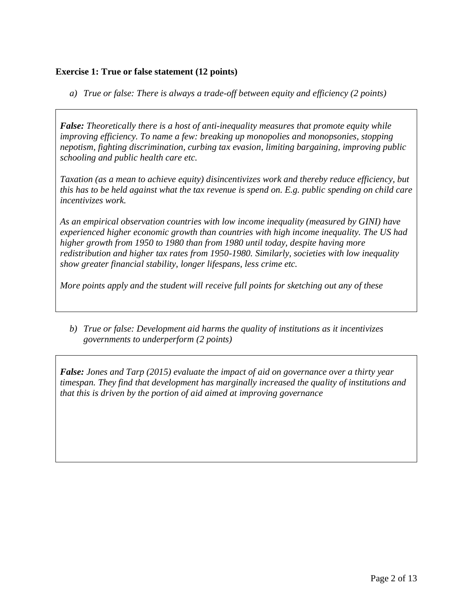# **Exercise 1: True or false statement (12 points)**

*a) True or false: There is always a trade-off between equity and efficiency (2 points)*

*False: Theoretically there is a host of anti-inequality measures that promote equity while improving efficiency. To name a few: breaking up monopolies and monopsonies, stopping nepotism, fighting discrimination, curbing tax evasion, limiting bargaining, improving public schooling and public health care etc.*

*Taxation (as a mean to achieve equity) disincentivizes work and thereby reduce efficiency, but this has to be held against what the tax revenue is spend on. E.g. public spending on child care incentivizes work.*

*As an empirical observation countries with low income inequality (measured by GINI) have experienced higher economic growth than countries with high income inequality. The US had higher growth from 1950 to 1980 than from 1980 until today, despite having more redistribution and higher tax rates from 1950-1980. Similarly, societies with low inequality show greater financial stability, longer lifespans, less crime etc.*

*More points apply and the student will receive full points for sketching out any of these*

*b) True or false: Development aid harms the quality of institutions as it incentivizes governments to underperform (2 points)*

*False: Jones and Tarp (2015) evaluate the impact of aid on governance over a thirty year timespan. They find that development has marginally increased the quality of institutions and that this is driven by the portion of aid aimed at improving governance*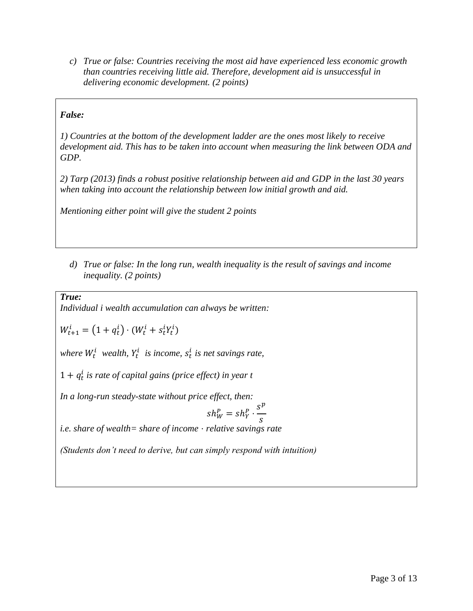*c) True or false: Countries receiving the most aid have experienced less economic growth than countries receiving little aid. Therefore, development aid is unsuccessful in delivering economic development. (2 points)*

# *False:*

*1) Countries at the bottom of the development ladder are the ones most likely to receive development aid. This has to be taken into account when measuring the link between ODA and GDP.* 

*2) Tarp (2013) finds a robust positive relationship between aid and GDP in the last 30 years when taking into account the relationship between low initial growth and aid.*

*Mentioning either point will give the student 2 points* 

*d) True or false: In the long run, wealth inequality is the result of savings and income inequality. (2 points)*

*True:*

*Individual i wealth accumulation can always be written:* 

 $W_{t+1}^i = (1 + q_t^i) \cdot (W_t^i + s_t^i Y_t^i)$ 

where  $W_t^i$  wealth,  $Y_t^i$  is income,  $s_t^i$  is net savings rate,

 $1 + q_t^i$  is rate of capital gains (price effect) in year t

*In a long-run steady-state without price effect, then:*

$$
sh_W^P = sh_Y^P \cdot \frac{s^p}{s}
$$

*i.e. share of wealth= share of income* ⋅ *relative savings rate*

*(Students don't need to derive, but can simply respond with intuition)*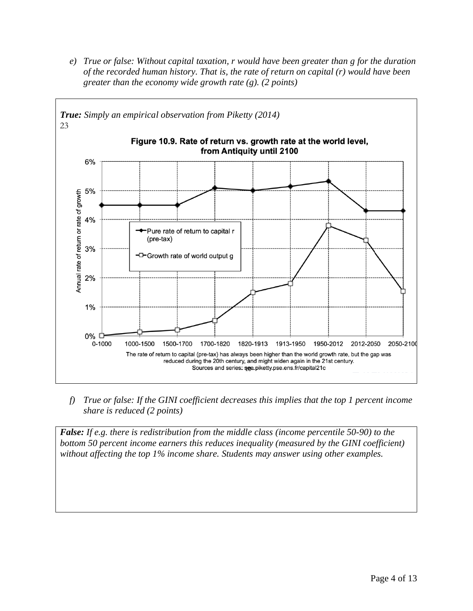*e) True or false: Without capital taxation, r would have been greater than g for the duration of the recorded human history. That is, the rate of return on capital (r) would have been greater than the economy wide growth rate (g). (2 points)*



*f) True or false: If the GINI coefficient decreases this implies that the top 1 percent income share is reduced (2 points)*

*False: If e.g. there is redistribution from the middle class (income percentile 50-90) to the bottom 50 percent income earners this reduces inequality (measured by the GINI coefficient) without affecting the top 1% income share. Students may answer using other examples.*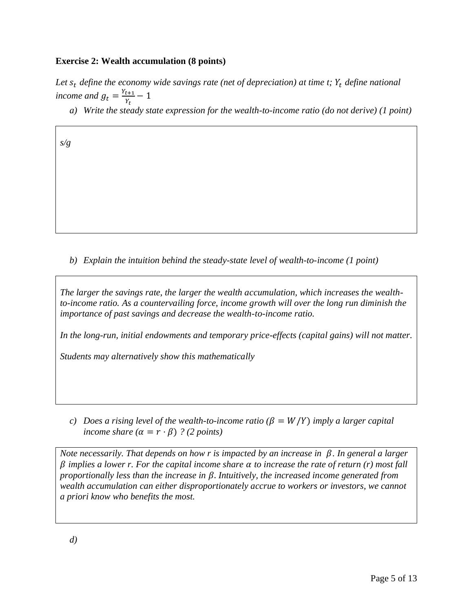### **Exercise 2: Wealth accumulation (8 points)**

Let  $s_t$  define the economy wide savings rate (net of depreciation) at time t;  $Y_t$  define national *income and*  $g_t = \frac{Y_{t+1}}{Y_t}$  $\frac{t+1}{Y_t} - 1$ 

*a) Write the steady state expression for the wealth-to-income ratio (do not derive) (1 point)*

*s/g*

*b) Explain the intuition behind the steady-state level of wealth-to-income (1 point)*

*The larger the savings rate, the larger the wealth accumulation, which increases the wealthto-income ratio. As a countervailing force, income growth will over the long run diminish the importance of past savings and decrease the wealth-to-income ratio.* 

*In the long-run, initial endowments and temporary price-effects (capital gains) will not matter.*

*Students may alternatively show this mathematically* 

*c*) Does a rising level of the wealth-to-income ratio  $(\beta = W/Y)$  imply a larger capital *income share*  $(\alpha = r \cdot \beta)$  *? (2 points)* 

*Note necessarily. That depends on how r is impacted by an increase in β. In general a larger implies a lower r. For the capital income share to increase the rate of return (r) most fall proportionally less than the increase in* . *Intuitively, the increased income generated from wealth accumulation can either disproportionately accrue to workers or investors, we cannot a priori know who benefits the most.*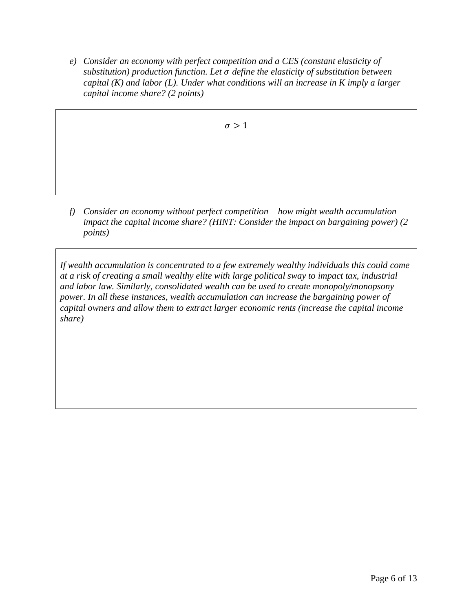*e) Consider an economy with perfect competition and a CES (constant elasticity of substitution) production function. Let define the elasticity of substitution between capital (K) and labor (L). Under what conditions will an increase in K imply a larger capital income share? (2 points)*

 $\sigma > 1$ 

*f) Consider an economy without perfect competition – how might wealth accumulation impact the capital income share? (HINT: Consider the impact on bargaining power) (2 points)*

*If wealth accumulation is concentrated to a few extremely wealthy individuals this could come at a risk of creating a small wealthy elite with large political sway to impact tax, industrial and labor law. Similarly, consolidated wealth can be used to create monopoly/monopsony power. In all these instances, wealth accumulation can increase the bargaining power of capital owners and allow them to extract larger economic rents (increase the capital income share)*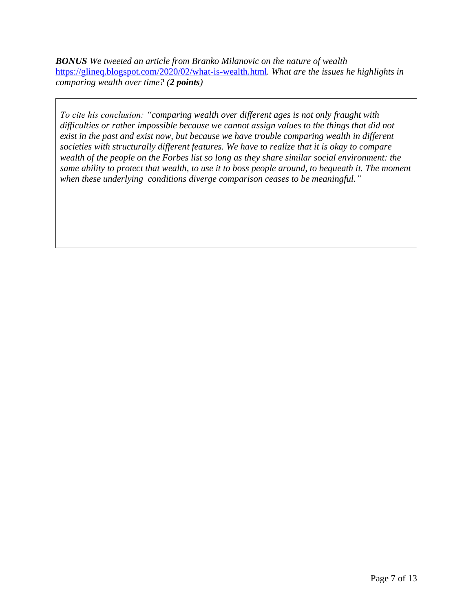*BONUS We tweeted an article from Branko Milanovic on the nature of wealth*  <https://glineq.blogspot.com/2020/02/what-is-wealth.html>*. What are the issues he highlights in comparing wealth over time? (2 points)*

*To cite his conclusion: "comparing wealth over different ages is not only fraught with difficulties or rather impossible because we cannot assign values to the things that did not exist in the past and exist now, but because we have trouble comparing wealth in different societies with structurally different features. We have to realize that it is okay to compare wealth of the people on the Forbes list so long as they share similar social environment: the same ability to protect that wealth, to use it to boss people around, to bequeath it. The moment when these underlying conditions diverge comparison ceases to be meaningful."*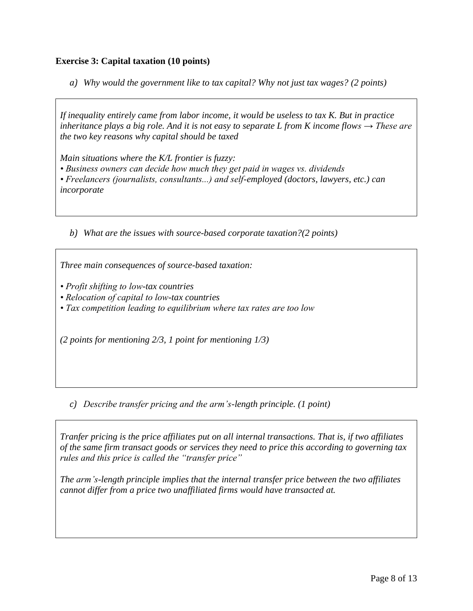# **Exercise 3: Capital taxation (10 points)**

*a) Why would the government like to tax capital? Why not just tax wages? (2 points)*

*If inequality entirely came from labor income, it would be useless to tax K. But in practice inheritance plays a big role. And it is not easy to separate L from K income flows*  $\rightarrow$  *These are the two key reasons why capital should be taxed*

*Main situations where the K/L frontier is fuzzy: • Business owners can decide how much they get paid in wages vs. dividends • Freelancers (journalists, consultants...) and self-employed (doctors, lawyers, etc.) can incorporate*

*b) What are the issues with source-based corporate taxation?(2 points)*

*Three main consequences of source-based taxation:* 

- *Profit shifting to low-tax countries*
- *Relocation of capital to low-tax countries*
- *Tax competition leading to equilibrium where tax rates are too low*

*(2 points for mentioning 2/3, 1 point for mentioning 1/3)*

*c) Describe transfer pricing and the arm's-length principle. (1 point)*

*Tranfer pricing is the price affiliates put on all internal transactions. That is, if two affiliates of the same firm transact goods or services they need to price this according to governing tax rules and this price is called the "transfer price"*

*The arm's-length principle implies that the internal transfer price between the two affiliates cannot differ from a price two unaffiliated firms would have transacted at.*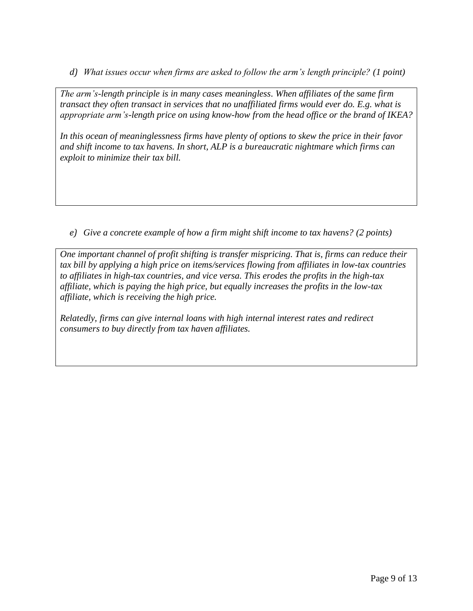*d) What issues occur when firms are asked to follow the arm's length principle? (1 point)*

*The arm's-length principle is in many cases meaningless. When affiliates of the same firm transact they often transact in services that no unaffiliated firms would ever do. E.g. what is appropriate arm's-length price on using know-how from the head office or the brand of IKEA?*

*In this ocean of meaninglessness firms have plenty of options to skew the price in their favor and shift income to tax havens. In short, ALP is a bureaucratic nightmare which firms can exploit to minimize their tax bill.*

*e) Give a concrete example of how a firm might shift income to tax havens? (2 points)*

*One important channel of profit shifting is transfer mispricing. That is, firms can reduce their tax bill by applying a high price on items/services flowing from affiliates in low-tax countries to affiliates in high-tax countries, and vice versa. This erodes the profits in the high-tax affiliate, which is paying the high price, but equally increases the profits in the low-tax affiliate, which is receiving the high price.*

*Relatedly, firms can give internal loans with high internal interest rates and redirect consumers to buy directly from tax haven affiliates.*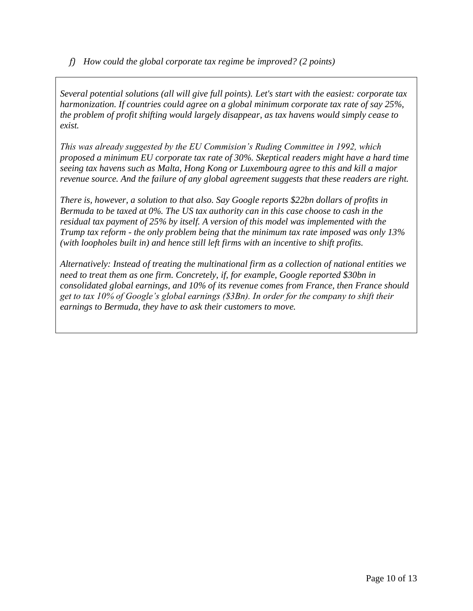*f) How could the global corporate tax regime be improved? (2 points)*

*Several potential solutions (all will give full points). Let's start with the easiest: corporate tax harmonization. If countries could agree on a global minimum corporate tax rate of say 25%, the problem of profit shifting would largely disappear, as tax havens would simply cease to exist.*

*This was already suggested by the EU Commision's Ruding Committee in 1992, which proposed a minimum EU corporate tax rate of 30%. Skeptical readers might have a hard time seeing tax havens such as Malta, Hong Kong or Luxembourg agree to this and kill a major revenue source. And the failure of any global agreement suggests that these readers are right.*

*There is, however, a solution to that also. Say Google reports \$22bn dollars of profits in Bermuda to be taxed at 0%. The US tax authority can in this case choose to cash in the residual tax payment of 25% by itself. A version of this model was implemented with the Trump tax reform - the only problem being that the minimum tax rate imposed was only 13% (with loopholes built in) and hence still left firms with an incentive to shift profits.*

*Alternatively: Instead of treating the multinational firm as a collection of national entities we need to treat them as one firm. Concretely, if, for example, Google reported \$30bn in consolidated global earnings, and 10% of its revenue comes from France, then France should get to tax 10% of Google's global earnings (\$3Bn). In order for the company to shift their earnings to Bermuda, they have to ask their customers to move.*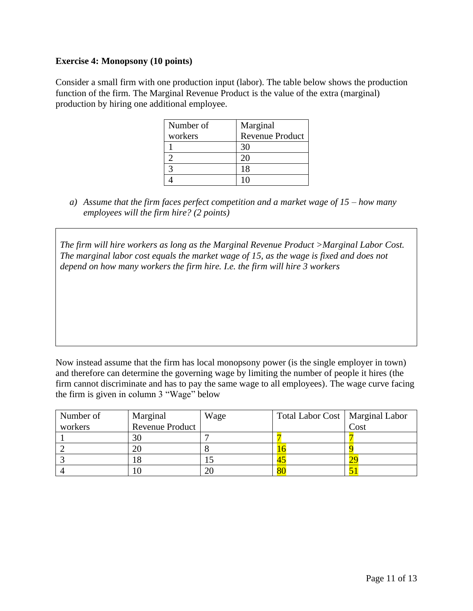### **Exercise 4: Monopsony (10 points)**

Consider a small firm with one production input (labor). The table below shows the production function of the firm. The Marginal Revenue Product is the value of the extra (marginal) production by hiring one additional employee.

| Number of | Marginal               |
|-----------|------------------------|
| workers   | <b>Revenue Product</b> |
|           |                        |
|           |                        |
|           | 18                     |
|           |                        |

*a) Assume that the firm faces perfect competition and a market wage of 15 – how many employees will the firm hire? (2 points)*

*The firm will hire workers as long as the Marginal Revenue Product >Marginal Labor Cost. The marginal labor cost equals the market wage of 15, as the wage is fixed and does not depend on how many workers the firm hire. I.e. the firm will hire 3 workers*

Now instead assume that the firm has local monopsony power (is the single employer in town) and therefore can determine the governing wage by limiting the number of people it hires (the firm cannot discriminate and has to pay the same wage to all employees). The wage curve facing the firm is given in column 3 "Wage" below

| Number of | Marginal                     | Wage | Total Labor Cost   Marginal Labor |      |
|-----------|------------------------------|------|-----------------------------------|------|
| workers   | Revenue Product <sup>1</sup> |      |                                   | Cost |
|           | 30                           |      |                                   |      |
|           | 20                           |      |                                   |      |
|           |                              |      | 4.                                |      |
|           |                              |      | $\circ$                           |      |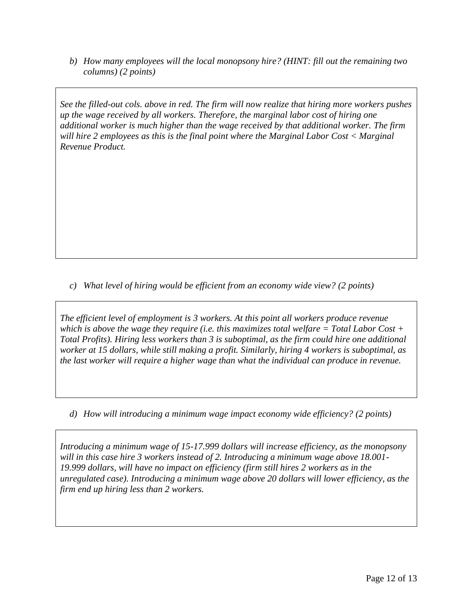*b) How many employees will the local monopsony hire? (HINT: fill out the remaining two columns) (2 points)*

*See the filled-out cols. above in red. The firm will now realize that hiring more workers pushes up the wage received by all workers. Therefore, the marginal labor cost of hiring one additional worker is much higher than the wage received by that additional worker. The firm will hire 2 employees as this is the final point where the Marginal Labor Cost < Marginal Revenue Product.*

*c) What level of hiring would be efficient from an economy wide view? (2 points)*

*The efficient level of employment is 3 workers. At this point all workers produce revenue which is above the wage they require (i.e. this maximizes total welfare = Total Labor Cost + Total Profits). Hiring less workers than 3 is suboptimal, as the firm could hire one additional worker at 15 dollars, while still making a profit. Similarly, hiring 4 workers is suboptimal, as the last worker will require a higher wage than what the individual can produce in revenue.*

*d) How will introducing a minimum wage impact economy wide efficiency? (2 points)*

*Introducing a minimum wage of 15-17.999 dollars will increase efficiency, as the monopsony will in this case hire 3 workers instead of 2. Introducing a minimum wage above 18.001- 19.999 dollars, will have no impact on efficiency (firm still hires 2 workers as in the unregulated case). Introducing a minimum wage above 20 dollars will lower efficiency, as the firm end up hiring less than 2 workers.*